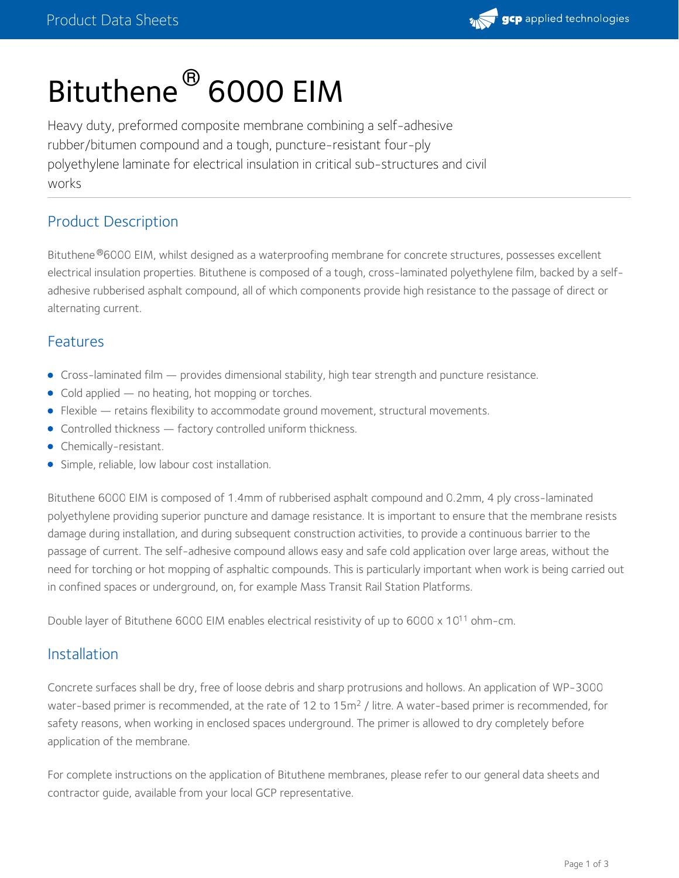

# Bituthene ® 6000 EIM

Heavy duty, preformed composite membrane combining a self-adhesive rubber/bitumen compound and a tough, puncture-resistant four-ply polyethylene laminate for electrical insulation in critical sub-structures and civil works

## Product Description

Bituthene ®6000 EIM, whilst designed as a waterproofing membrane for concrete structures, possesses excellent electrical insulation properties. Bituthene is composed of a tough, cross-laminated polyethylene film, backed by a selfadhesive rubberised asphalt compound, all of which components provide high resistance to the passage of direct or alternating current.

#### Features

- Cross-laminated film provides dimensional stability, high tear strength and puncture resistance.
- Cold applied no heating, hot mopping or torches.
- Flexible retains flexibility to accommodate ground movement, structural movements.
- Controlled thickness factory controlled uniform thickness.
- Chemically-resistant.
- **Simple, reliable, low labour cost installation.**

Bituthene 6000 EIM is composed of 1.4mm of rubberised asphalt compound and 0.2mm, 4 ply cross-laminated polyethylene providing superior puncture and damage resistance. It is important to ensure that the membrane resists damage during installation, and during subsequent construction activities, to provide a continuous barrier to the passage of current. The self-adhesive compound allows easy and safe cold application over large areas, without the need for torching or hot mopping of asphaltic compounds. This is particularly important when work is being carried out in confined spaces or underground, on, for example Mass Transit Rail Station Platforms.

Double layer of Bituthene 6000 EIM enables electrical resistivity of up to 6000 x 10<sup>11</sup> ohm-cm.

#### Installation

Concrete surfaces shall be dry, free of loose debris and sharp protrusions and hollows. An application of WP-3000 water-based primer is recommended, at the rate of 12 to 15m<sup>2</sup> / litre. A water-based primer is recommended, for safety reasons, when working in enclosed spaces underground. The primer is allowed to dry completely before application of the membrane.

For complete instructions on the application of Bituthene membranes, please refer to our general data sheets and contractor guide, available from your local GCP representative.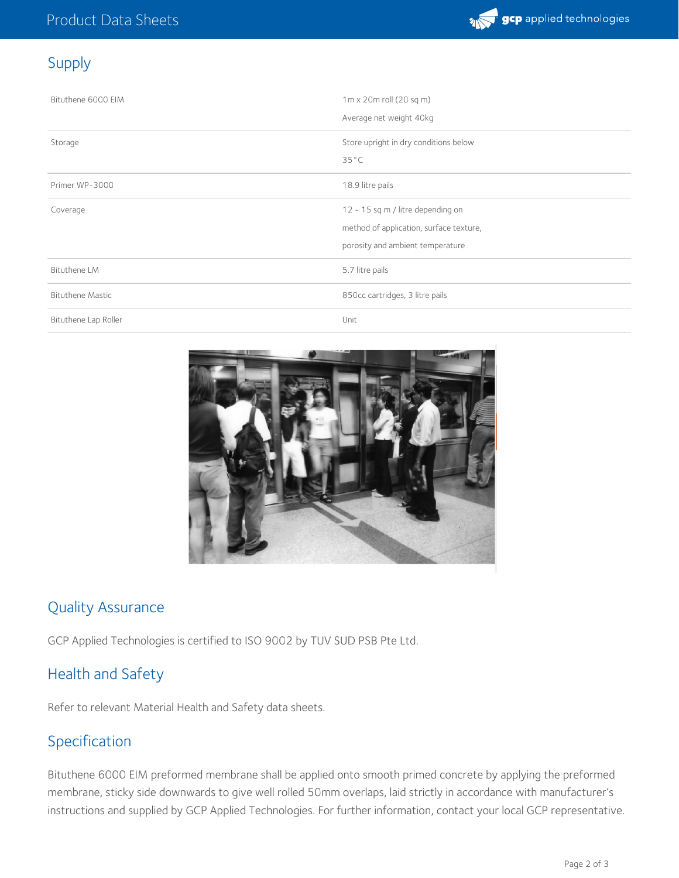

# Supply

| Bituthene 6000 EIM      | $1m \times 20m$ roll (20 sq m)<br>Average net weight 40kg                                                        |  |
|-------------------------|------------------------------------------------------------------------------------------------------------------|--|
| Storage                 | Store upright in dry conditions below<br>$35^{\circ}$ C                                                          |  |
| Primer WP-3000          | 18.9 litre pails                                                                                                 |  |
| Coverage                | 12 - 15 sq m / litre depending on<br>method of application, surface texture,<br>porosity and ambient temperature |  |
| Bituthene LM            | 5.7 litre pails                                                                                                  |  |
| <b>Bituthene Mastic</b> | 850cc cartridges, 3 litre pails                                                                                  |  |
| Bituthene Lap Roller    | Unit                                                                                                             |  |



# Quality Assurance

GCP Applied Technologies is certified to ISO 9002 by TUV SUD PSB Pte Ltd.

### Health and Safety

Refer to relevant Material Health and Safety data sheets.

## Specification

Bituthene 6000 EIM preformed membrane shall be applied onto smooth primed concrete by applying the preformed membrane, sticky side downwards to give well rolled 50mm overlaps, laid strictly in accordance with manufacturer's instructions and supplied by GCP Applied Technologies. For further information, contact your local GCP representative.